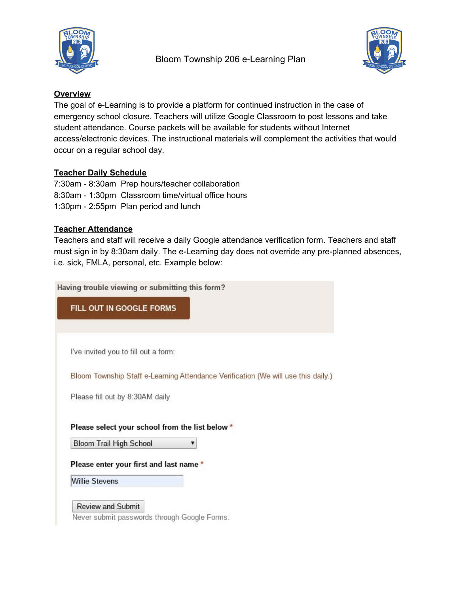



### **Overview**

The goal of e-Learning is to provide a platform for continued instruction in the case of emergency school closure. Teachers will utilize Google Classroom to post lessons and take student attendance. Course packets will be available for students without Internet access/electronic devices. The instructional materials will complement the activities that would occur on a regular school day.

### **Teacher Daily Schedule**

7:30am - 8:30am Prep hours/teacher collaboration 8:30am - 1:30pm Classroom time/virtual office hours 1:30pm - 2:55pm Plan period and lunch

# **Teacher Attendance**

Teachers and staff will receive a daily Google attendance verification form. Teachers and staff must sign in by 8:30am daily. The e-Learning day does not override any pre-planned absences, i.e. sick, FMLA, personal, etc. Example below:

Having trouble viewing or submitting this form?

FILL OUT IN GOOGLE FORMS

I've invited you to fill out a form:

Bloom Township Staff e-Learning Attendance Verification (We will use this daily.)

Please fill out by 8:30AM daily

Please select your school from the list below \*

**Bloom Trail High School** 7

Please enter your first and last name \*

**Willie Stevens** 

Review and Submit Never submit passwords through Google Forms.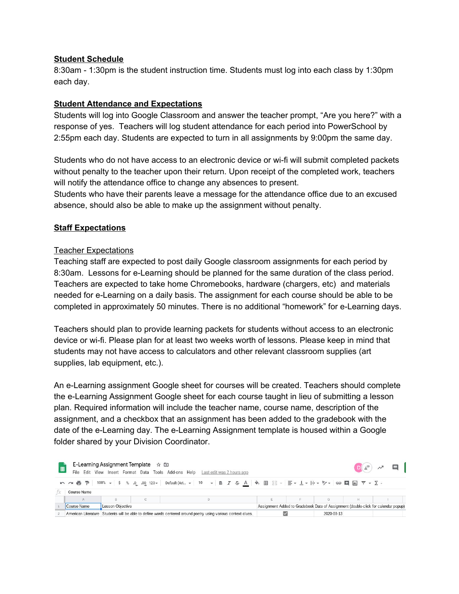#### **Student Schedule**

8:30am - 1:30pm is the student instruction time. Students must log into each class by 1:30pm each day.

## **Student Attendance and Expectations**

Students will log into Google Classroom and answer the teacher prompt, "Are you here?" with a response of yes. Teachers will log student attendance for each period into PowerSchool by 2:55pm each day. Students are expected to turn in all assignments by 9:00pm the same day.

Students who do not have access to an electronic device or wi-fi will submit completed packets without penalty to the teacher upon their return. Upon receipt of the completed work, teachers will notify the attendance office to change any absences to present.

Students who have their parents leave a message for the attendance office due to an excused absence, should also be able to make up the assignment without penalty.

# **Staff Expectations**

### Teacher Expectations

Teaching staff are expected to post daily Google classroom assignments for each period by 8:30am. Lessons for e-Learning should be planned for the same duration of the class period. Teachers are expected to take home Chromebooks, hardware (chargers, etc) and materials needed for e-Learning on a daily basis. The assignment for each course should be able to be completed in approximately 50 minutes. There is no additional "homework" for e-Learning days.

Teachers should plan to provide learning packets for students without access to an electronic device or wi-fi. Please plan for at least two weeks worth of lessons. Please keep in mind that students may not have access to calculators and other relevant classroom supplies (art supplies, lab equipment, etc.).

An e-Learning assignment Google sheet for courses will be created. Teachers should complete the e-Learning Assignment Google sheet for each course taught in lieu of submitting a lesson plan. Required information will include the teacher name, course name, description of the assignment, and a checkbox that an assignment has been added to the gradebook with the date of the e-Learning day. The e-Learning Assignment template is housed within a Google folder shared by your Division Coordinator.

| 国           |                    | E-Learning Assignment Template $\hat{\pi}$ in |  | File Edit View Insert Format Data Tools Add-ons Help Last edit was 2 hours ago                                |                                                                                    |  |            |    | $D(\mathbb{R})$ $\mathcal{M}$ $\Box$ |
|-------------|--------------------|-----------------------------------------------|--|---------------------------------------------------------------------------------------------------------------|------------------------------------------------------------------------------------|--|------------|----|--------------------------------------|
| Course Name |                    |                                               |  |                                                                                                               |                                                                                    |  |            |    |                                      |
|             |                    |                                               |  |                                                                                                               |                                                                                    |  | G          | н. |                                      |
|             | <b>Course Name</b> | Lesson Objective                              |  |                                                                                                               | Assignment Added to Gradebook Date of Assignment (double-click for calendar popup) |  |            |    |                                      |
|             |                    |                                               |  | American Literature Students will be able to define words centered around poetry using various context clues. |                                                                                    |  | 2020-03-13 |    |                                      |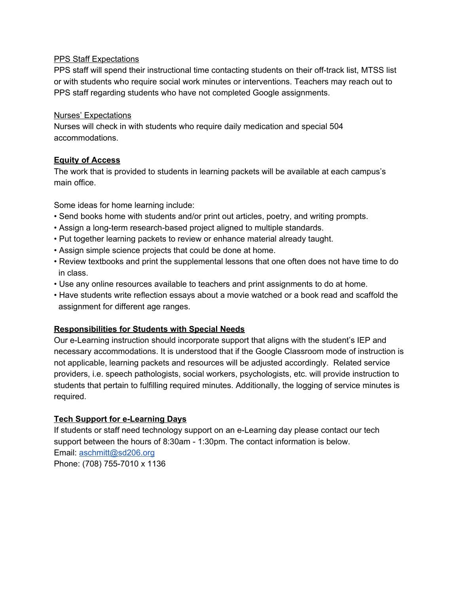#### PPS Staff Expectations

PPS staff will spend their instructional time contacting students on their off-track list, MTSS list or with students who require social work minutes or interventions. Teachers may reach out to PPS staff regarding students who have not completed Google assignments.

### Nurses' Expectations

Nurses will check in with students who require daily medication and special 504 accommodations.

# **Equity of Access**

The work that is provided to students in learning packets will be available at each campus's main office.

Some ideas for home learning include:

- Send books home with students and/or print out articles, poetry, and writing prompts.
- Assign a long-term research-based project aligned to multiple standards.
- Put together learning packets to review or enhance material already taught.
- Assign simple science projects that could be done at home.
- Review textbooks and print the supplemental lessons that one often does not have time to do in class.
- Use any online resources available to teachers and print assignments to do at home.
- Have students write reflection essays about a movie watched or a book read and scaffold the assignment for different age ranges.

# **Responsibilities for Students with Special Needs**

Our e-Learning instruction should incorporate support that aligns with the student's IEP and necessary accommodations. It is understood that if the Google Classroom mode of instruction is not applicable, learning packets and resources will be adjusted accordingly. Related service providers, i.e. speech pathologists, social workers, psychologists, etc. will provide instruction to students that pertain to fulfilling required minutes. Additionally, the logging of service minutes is required.

# **Tech Support for e-Learning Days**

If students or staff need technology support on an e-Learning day please contact our tech support between the hours of 8:30am - 1:30pm. The contact information is below. Email: [aschmitt@sd206.org](mailto:aschmitt@sd206.org) Phone: (708) 755-7010 x 1136